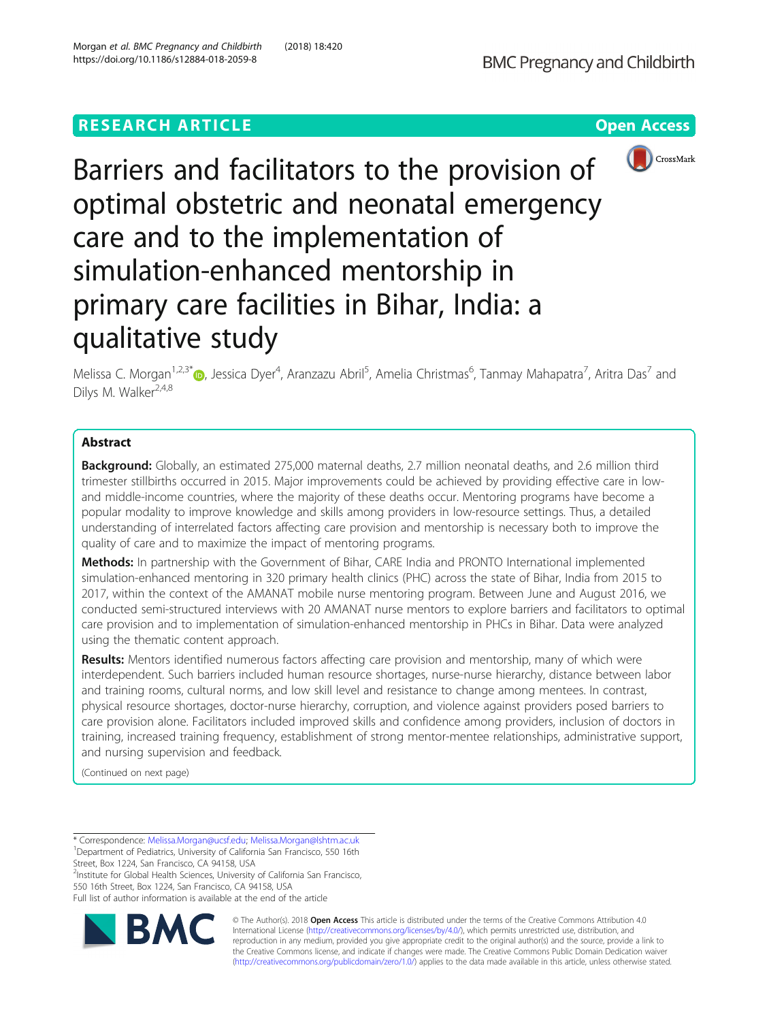# **RESEARCH ARTICLE Example 2018 12:30 The CONSTRUCTION CONSTRUCTION CONSTRUCTS**



Barriers and facilitators to the provision of optimal obstetric and neonatal emergency care and to the implementation of simulation-enhanced mentorship in primary care facilities in Bihar, India: a qualitative study

Melissa C. Morgan<sup>1[,](http://orcid.org/0000-0003-3457-8452)2,3\*</sup>®, Jessica Dyer<sup>4</sup>, Aranzazu Abril<sup>5</sup>, Amelia Christmas<sup>6</sup>, Tanmay Mahapatra<sup>7</sup>, Aritra Das<sup>7</sup> and Dilys M. Walker<sup>2,4,8</sup>

# Abstract

**Background:** Globally, an estimated 275,000 maternal deaths, 2.7 million neonatal deaths, and 2.6 million third trimester stillbirths occurred in 2015. Major improvements could be achieved by providing effective care in lowand middle-income countries, where the majority of these deaths occur. Mentoring programs have become a popular modality to improve knowledge and skills among providers in low-resource settings. Thus, a detailed understanding of interrelated factors affecting care provision and mentorship is necessary both to improve the quality of care and to maximize the impact of mentoring programs.

Methods: In partnership with the Government of Bihar, CARE India and PRONTO International implemented simulation-enhanced mentoring in 320 primary health clinics (PHC) across the state of Bihar, India from 2015 to 2017, within the context of the AMANAT mobile nurse mentoring program. Between June and August 2016, we conducted semi-structured interviews with 20 AMANAT nurse mentors to explore barriers and facilitators to optimal care provision and to implementation of simulation-enhanced mentorship in PHCs in Bihar. Data were analyzed using the thematic content approach.

Results: Mentors identified numerous factors affecting care provision and mentorship, many of which were interdependent. Such barriers included human resource shortages, nurse-nurse hierarchy, distance between labor and training rooms, cultural norms, and low skill level and resistance to change among mentees. In contrast, physical resource shortages, doctor-nurse hierarchy, corruption, and violence against providers posed barriers to care provision alone. Facilitators included improved skills and confidence among providers, inclusion of doctors in training, increased training frequency, establishment of strong mentor-mentee relationships, administrative support, and nursing supervision and feedback.

(Continued on next page)

\* Correspondence: [Melissa.Morgan@ucsf.edu;](mailto:Melissa.Morgan@ucsf.edu) [Melissa.Morgan@lshtm.ac.uk](mailto:Melissa.Morgan@lshtm.ac.uk) <sup>1</sup> <sup>1</sup>Department of Pediatrics, University of California San Francisco, 550 16th Street, Box 1224, San Francisco, CA 94158, USA

<sup>2</sup>Institute for Global Health Sciences, University of California San Francisco,

550 16th Street, Box 1224, San Francisco, CA 94158, USA Full list of author information is available at the end of the article



© The Author(s). 2018 Open Access This article is distributed under the terms of the Creative Commons Attribution 4.0 International License [\(http://creativecommons.org/licenses/by/4.0/](http://creativecommons.org/licenses/by/4.0/)), which permits unrestricted use, distribution, and reproduction in any medium, provided you give appropriate credit to the original author(s) and the source, provide a link to the Creative Commons license, and indicate if changes were made. The Creative Commons Public Domain Dedication waiver [\(http://creativecommons.org/publicdomain/zero/1.0/](http://creativecommons.org/publicdomain/zero/1.0/)) applies to the data made available in this article, unless otherwise stated.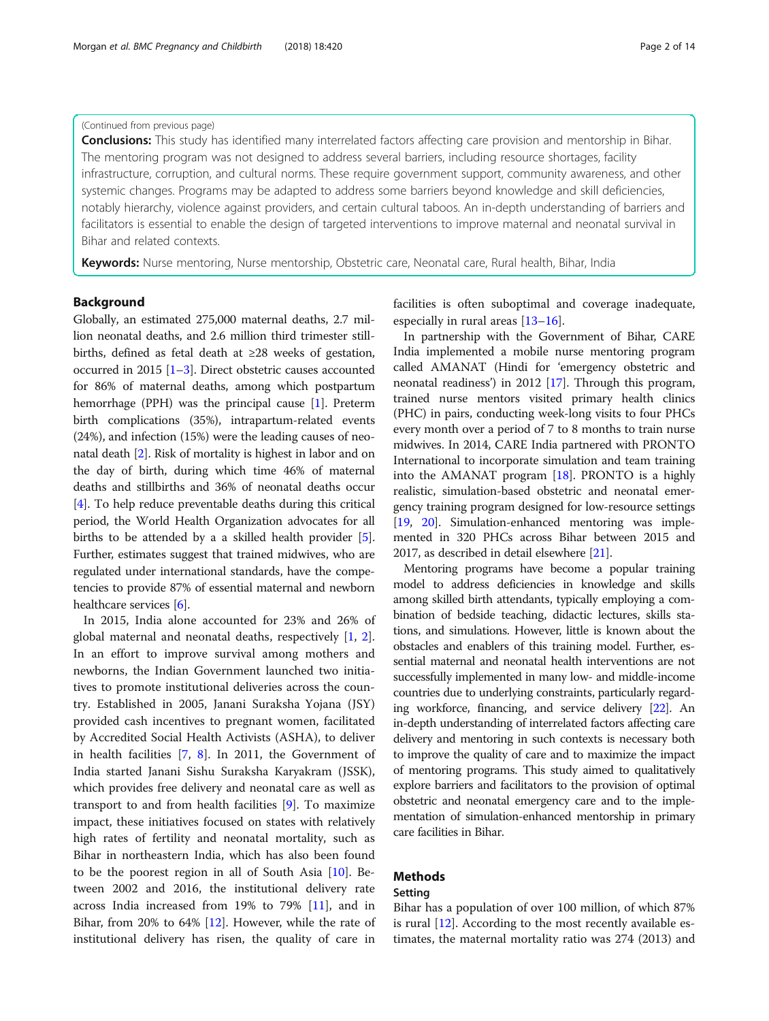#### (Continued from previous page)

Conclusions: This study has identified many interrelated factors affecting care provision and mentorship in Bihar. The mentoring program was not designed to address several barriers, including resource shortages, facility infrastructure, corruption, and cultural norms. These require government support, community awareness, and other systemic changes. Programs may be adapted to address some barriers beyond knowledge and skill deficiencies, notably hierarchy, violence against providers, and certain cultural taboos. An in-depth understanding of barriers and facilitators is essential to enable the design of targeted interventions to improve maternal and neonatal survival in Bihar and related contexts.

Keywords: Nurse mentoring, Nurse mentorship, Obstetric care, Neonatal care, Rural health, Bihar, India

# Background

Globally, an estimated 275,000 maternal deaths, 2.7 million neonatal deaths, and 2.6 million third trimester stillbirths, defined as fetal death at ≥28 weeks of gestation, occurred in 2015 [[1](#page-11-0)–[3](#page-11-0)]. Direct obstetric causes accounted for 86% of maternal deaths, among which postpartum hemorrhage (PPH) was the principal cause [[1](#page-11-0)]. Preterm birth complications (35%), intrapartum-related events (24%), and infection (15%) were the leading causes of neonatal death [[2\]](#page-11-0). Risk of mortality is highest in labor and on the day of birth, during which time 46% of maternal deaths and stillbirths and 36% of neonatal deaths occur [[4\]](#page-11-0). To help reduce preventable deaths during this critical period, the World Health Organization advocates for all births to be attended by a a skilled health provider [[5](#page-11-0)]. Further, estimates suggest that trained midwives, who are regulated under international standards, have the competencies to provide 87% of essential maternal and newborn healthcare services [\[6](#page-11-0)].

In 2015, India alone accounted for 23% and 26% of global maternal and neonatal deaths, respectively [\[1](#page-11-0), [2](#page-11-0)]. In an effort to improve survival among mothers and newborns, the Indian Government launched two initiatives to promote institutional deliveries across the country. Established in 2005, Janani Suraksha Yojana (JSY) provided cash incentives to pregnant women, facilitated by Accredited Social Health Activists (ASHA), to deliver in health facilities [[7,](#page-11-0) [8\]](#page-12-0). In 2011, the Government of India started Janani Sishu Suraksha Karyakram (JSSK), which provides free delivery and neonatal care as well as transport to and from health facilities [[9\]](#page-12-0). To maximize impact, these initiatives focused on states with relatively high rates of fertility and neonatal mortality, such as Bihar in northeastern India, which has also been found to be the poorest region in all of South Asia [\[10](#page-12-0)]. Between 2002 and 2016, the institutional delivery rate across India increased from 19% to 79% [[11\]](#page-12-0), and in Bihar, from 20% to 64% [[12\]](#page-12-0). However, while the rate of institutional delivery has risen, the quality of care in

facilities is often suboptimal and coverage inadequate, especially in rural areas [[13](#page-12-0)–[16](#page-12-0)].

In partnership with the Government of Bihar, CARE India implemented a mobile nurse mentoring program called AMANAT (Hindi for 'emergency obstetric and neonatal readiness') in 2012 [\[17\]](#page-12-0). Through this program, trained nurse mentors visited primary health clinics (PHC) in pairs, conducting week-long visits to four PHCs every month over a period of 7 to 8 months to train nurse midwives. In 2014, CARE India partnered with PRONTO International to incorporate simulation and team training into the AMANAT program [\[18\]](#page-12-0). PRONTO is a highly realistic, simulation-based obstetric and neonatal emergency training program designed for low-resource settings [[19](#page-12-0), [20](#page-12-0)]. Simulation-enhanced mentoring was implemented in 320 PHCs across Bihar between 2015 and 2017, as described in detail elsewhere [[21](#page-12-0)].

Mentoring programs have become a popular training model to address deficiencies in knowledge and skills among skilled birth attendants, typically employing a combination of bedside teaching, didactic lectures, skills stations, and simulations. However, little is known about the obstacles and enablers of this training model. Further, essential maternal and neonatal health interventions are not successfully implemented in many low- and middle-income countries due to underlying constraints, particularly regarding workforce, financing, and service delivery [\[22\]](#page-12-0). An in-depth understanding of interrelated factors affecting care delivery and mentoring in such contexts is necessary both to improve the quality of care and to maximize the impact of mentoring programs. This study aimed to qualitatively explore barriers and facilitators to the provision of optimal obstetric and neonatal emergency care and to the implementation of simulation-enhanced mentorship in primary care facilities in Bihar.

# Methods

# Setting

Bihar has a population of over 100 million, of which 87% is rural [[12\]](#page-12-0). According to the most recently available estimates, the maternal mortality ratio was 274 (2013) and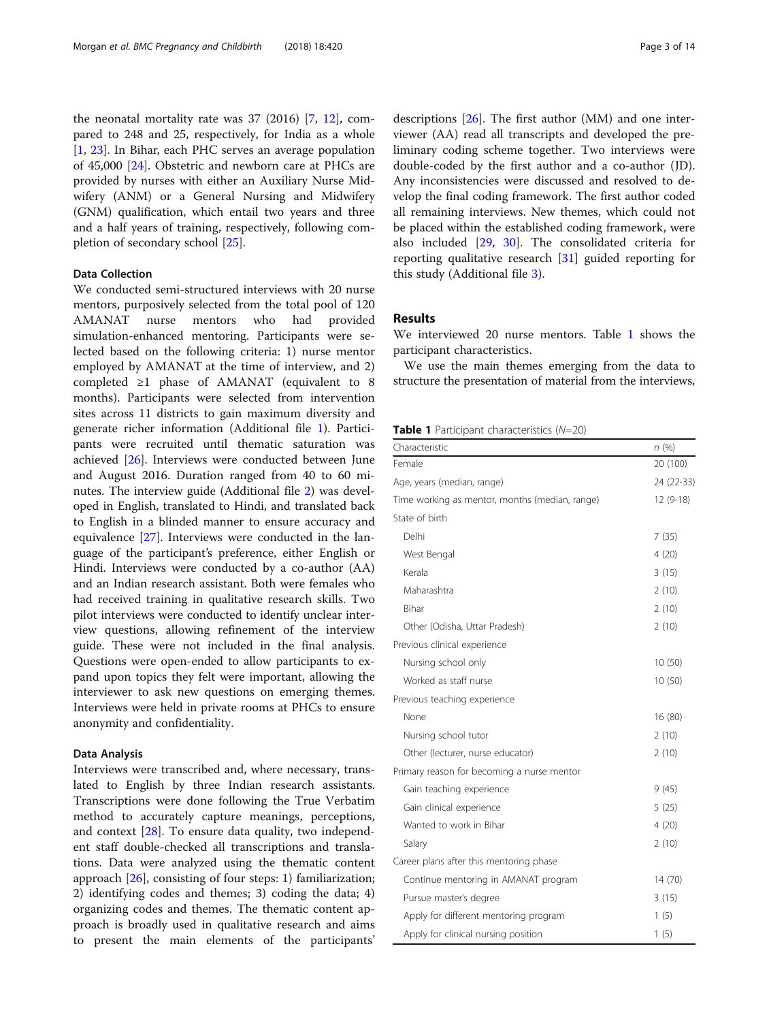<span id="page-2-0"></span>the neonatal mortality rate was 37 (2016) [\[7](#page-11-0), [12\]](#page-12-0), compared to 248 and 25, respectively, for India as a whole [[1,](#page-11-0) [23\]](#page-12-0). In Bihar, each PHC serves an average population of 45,000 [[24](#page-12-0)]. Obstetric and newborn care at PHCs are provided by nurses with either an Auxiliary Nurse Midwifery (ANM) or a General Nursing and Midwifery (GNM) qualification, which entail two years and three and a half years of training, respectively, following completion of secondary school [\[25](#page-12-0)].

## Data Collection

We conducted semi-structured interviews with 20 nurse mentors, purposively selected from the total pool of 120 AMANAT nurse mentors who had provided simulation-enhanced mentoring. Participants were selected based on the following criteria: 1) nurse mentor employed by AMANAT at the time of interview, and 2) completed ≥1 phase of AMANAT (equivalent to 8 months). Participants were selected from intervention sites across 11 districts to gain maximum diversity and generate richer information (Additional file [1\)](#page-11-0). Participants were recruited until thematic saturation was achieved [\[26\]](#page-12-0). Interviews were conducted between June and August 2016. Duration ranged from 40 to 60 minutes. The interview guide (Additional file [2\)](#page-11-0) was developed in English, translated to Hindi, and translated back to English in a blinded manner to ensure accuracy and equivalence [\[27](#page-12-0)]. Interviews were conducted in the language of the participant's preference, either English or Hindi. Interviews were conducted by a co-author (AA) and an Indian research assistant. Both were females who had received training in qualitative research skills. Two pilot interviews were conducted to identify unclear interview questions, allowing refinement of the interview guide. These were not included in the final analysis. Questions were open-ended to allow participants to expand upon topics they felt were important, allowing the interviewer to ask new questions on emerging themes. Interviews were held in private rooms at PHCs to ensure anonymity and confidentiality.

#### Data Analysis

Interviews were transcribed and, where necessary, translated to English by three Indian research assistants. Transcriptions were done following the True Verbatim method to accurately capture meanings, perceptions, and context [\[28](#page-12-0)]. To ensure data quality, two independent staff double-checked all transcriptions and translations. Data were analyzed using the thematic content approach [[26](#page-12-0)], consisting of four steps: 1) familiarization; 2) identifying codes and themes; 3) coding the data; 4) organizing codes and themes. The thematic content approach is broadly used in qualitative research and aims to present the main elements of the participants' descriptions [[26\]](#page-12-0). The first author (MM) and one interviewer (AA) read all transcripts and developed the preliminary coding scheme together. Two interviews were double-coded by the first author and a co-author (JD). Any inconsistencies were discussed and resolved to develop the final coding framework. The first author coded all remaining interviews. New themes, which could not be placed within the established coding framework, were also included [[29](#page-12-0), [30\]](#page-12-0). The consolidated criteria for reporting qualitative research [\[31](#page-12-0)] guided reporting for this study (Additional file [3\)](#page-11-0).

# Results

We interviewed 20 nurse mentors. Table 1 shows the participant characteristics.

We use the main themes emerging from the data to structure the presentation of material from the interviews,

### **Table 1** Participant characteristics  $(N=20)$

| Characteristic                                 | n(%)       |
|------------------------------------------------|------------|
| Female                                         | 20 (100)   |
| Age, years (median, range)                     | 24 (22-33) |
| Time working as mentor, months (median, range) | $12(9-18)$ |
| State of birth                                 |            |
| Delhi                                          | 7(35)      |
| West Bengal                                    | 4(20)      |
| Kerala                                         | 3(15)      |
| Maharashtra                                    | 2(10)      |
| <b>Bihar</b>                                   | 2(10)      |
| Other (Odisha, Uttar Pradesh)                  | 2(10)      |
| Previous clinical experience                   |            |
| Nursing school only                            | 10(50)     |
| Worked as staff nurse                          | 10 (50)    |
| Previous teaching experience                   |            |
| None                                           | 16 (80)    |
| Nursing school tutor                           | 2(10)      |
| Other (lecturer, nurse educator)               | 2(10)      |
| Primary reason for becoming a nurse mentor     |            |
| Gain teaching experience                       | 9(45)      |
| Gain clinical experience                       | 5(25)      |
| Wanted to work in Bihar                        | 4(20)      |
| Salary                                         | 2(10)      |
| Career plans after this mentoring phase        |            |
| Continue mentoring in AMANAT program           | 14 (70)    |
| Pursue master's degree                         | 3(15)      |
| Apply for different mentoring program          | 1(5)       |
| Apply for clinical nursing position            | 1(5)       |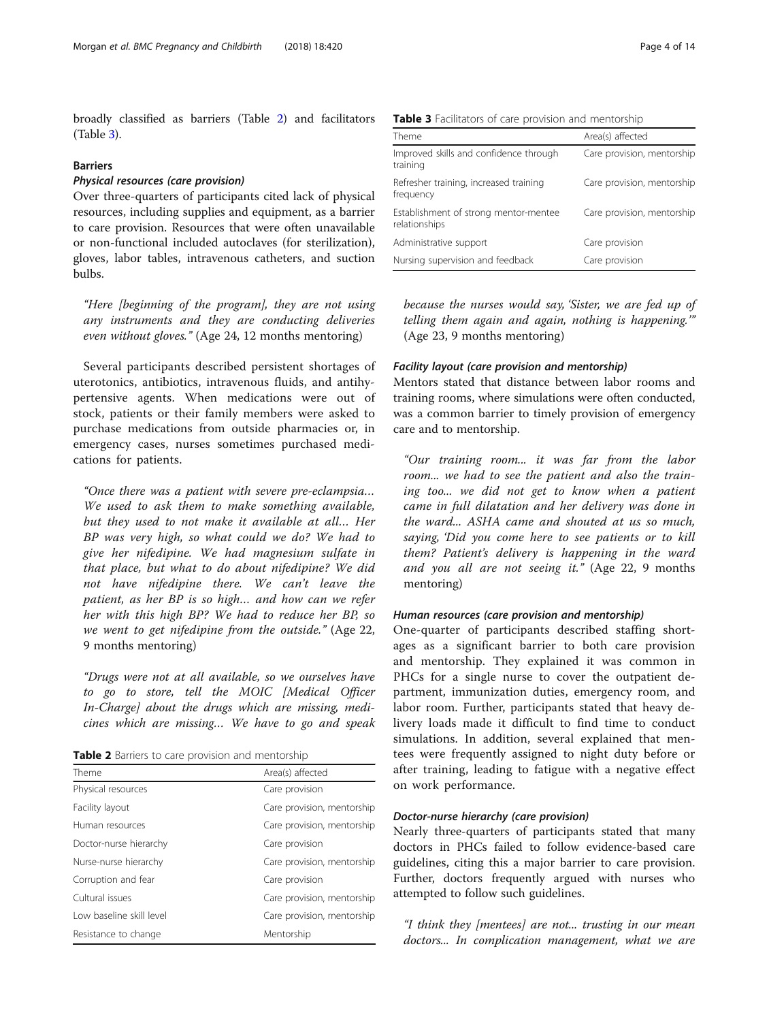broadly classified as barriers (Table 2) and facilitators (Table 3).

### Barriers

# Physical resources (care provision)

Over three-quarters of participants cited lack of physical resources, including supplies and equipment, as a barrier to care provision. Resources that were often unavailable or non-functional included autoclaves (for sterilization), gloves, labor tables, intravenous catheters, and suction bulbs.

"Here [beginning of the program], they are not using any instruments and they are conducting deliveries even without gloves." (Age 24, 12 months mentoring)

Several participants described persistent shortages of uterotonics, antibiotics, intravenous fluids, and antihypertensive agents. When medications were out of stock, patients or their family members were asked to purchase medications from outside pharmacies or, in emergency cases, nurses sometimes purchased medications for patients.

"Once there was a patient with severe pre-eclampsia… We used to ask them to make something available, but they used to not make it available at all… Her BP was very high, so what could we do? We had to give her nifedipine. We had magnesium sulfate in that place, but what to do about nifedipine? We did not have nifedipine there. We can't leave the patient, as her BP is so high… and how can we refer her with this high BP? We had to reduce her BP, so we went to get nifedipine from the outside." (Age 22, 9 months mentoring)

"Drugs were not at all available, so we ourselves have to go to store, tell the MOIC [Medical Officer In-Charge] about the drugs which are missing, medicines which are missing… We have to go and speak

|  |  |  |  |  |  | Table 2 Barriers to care provision and mentorship |  |
|--|--|--|--|--|--|---------------------------------------------------|--|
|--|--|--|--|--|--|---------------------------------------------------|--|

| Theme                    | Area(s) affected           |  |
|--------------------------|----------------------------|--|
| Physical resources       | Care provision             |  |
| Facility layout          | Care provision, mentorship |  |
| Human resources          | Care provision, mentorship |  |
| Doctor-nurse hierarchy   | Care provision             |  |
| Nurse-nurse hierarchy    | Care provision, mentorship |  |
| Corruption and fear      | Care provision             |  |
| Cultural issues          | Care provision, mentorship |  |
| Low baseline skill level | Care provision, mentorship |  |
| Resistance to change     | Mentorship                 |  |
|                          |                            |  |

|  | Table 3 Facilitators of care provision and mentorship |
|--|-------------------------------------------------------|
|--|-------------------------------------------------------|

| Theme                                                  | Area(s) affected           |
|--------------------------------------------------------|----------------------------|
| Improved skills and confidence through<br>training     | Care provision, mentorship |
| Refresher training, increased training<br>frequency    | Care provision, mentorship |
| Establishment of strong mentor-mentee<br>relationships | Care provision, mentorship |
| Administrative support                                 | Care provision             |
| Nursing supervision and feedback                       | Care provision             |

because the nurses would say, 'Sister, we are fed up of telling them again and again, nothing is happening.'" (Age 23, 9 months mentoring)

#### Facility layout (care provision and mentorship)

Mentors stated that distance between labor rooms and training rooms, where simulations were often conducted, was a common barrier to timely provision of emergency care and to mentorship.

"Our training room... it was far from the labor room... we had to see the patient and also the training too... we did not get to know when a patient came in full dilatation and her delivery was done in the ward... ASHA came and shouted at us so much, saying, 'Did you come here to see patients or to kill them? Patient's delivery is happening in the ward and you all are not seeing it." (Age 22, 9 months mentoring)

#### Human resources (care provision and mentorship)

One-quarter of participants described staffing shortages as a significant barrier to both care provision and mentorship. They explained it was common in PHCs for a single nurse to cover the outpatient department, immunization duties, emergency room, and labor room. Further, participants stated that heavy delivery loads made it difficult to find time to conduct simulations. In addition, several explained that mentees were frequently assigned to night duty before or after training, leading to fatigue with a negative effect on work performance.

# Doctor-nurse hierarchy (care provision)

Nearly three-quarters of participants stated that many doctors in PHCs failed to follow evidence-based care guidelines, citing this a major barrier to care provision. Further, doctors frequently argued with nurses who attempted to follow such guidelines.

"I think they [mentees] are not... trusting in our mean doctors... In complication management, what we are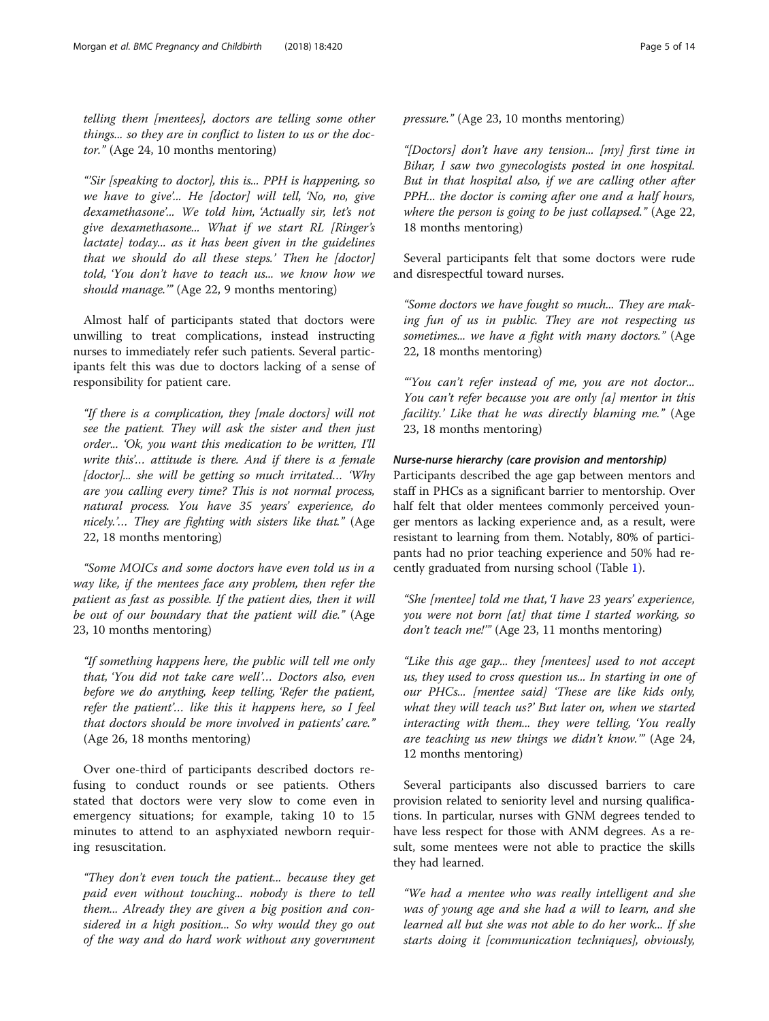telling them [mentees], doctors are telling some other things... so they are in conflict to listen to us or the doctor." (Age 24, 10 months mentoring)

"'Sir [speaking to doctor], this is... PPH is happening, so we have to give'... He [doctor] will tell, 'No, no, give dexamethasone'... We told him, 'Actually sir, let's not give dexamethasone... What if we start RL [Ringer's lactate] today... as it has been given in the guidelines that we should do all these steps.' Then he [doctor] told, 'You don't have to teach us... we know how we should manage.'" (Age 22, 9 months mentoring)

Almost half of participants stated that doctors were unwilling to treat complications, instead instructing nurses to immediately refer such patients. Several participants felt this was due to doctors lacking of a sense of responsibility for patient care.

"If there is a complication, they [male doctors] will not see the patient. They will ask the sister and then just order... 'Ok, you want this medication to be written, I'll write this'… attitude is there. And if there is a female  $[doctor]...$  she will be getting so much irritated... Why are you calling every time? This is not normal process, natural process. You have 35 years' experience, do nicely.'… They are fighting with sisters like that." (Age 22, 18 months mentoring)

"Some MOICs and some doctors have even told us in a way like, if the mentees face any problem, then refer the patient as fast as possible. If the patient dies, then it will be out of our boundary that the patient will die." (Age 23, 10 months mentoring)

"If something happens here, the public will tell me only that, 'You did not take care well'… Doctors also, even before we do anything, keep telling, 'Refer the patient, refer the patient'… like this it happens here, so I feel that doctors should be more involved in patients' care." (Age 26, 18 months mentoring)

Over one-third of participants described doctors refusing to conduct rounds or see patients. Others stated that doctors were very slow to come even in emergency situations; for example, taking 10 to 15 minutes to attend to an asphyxiated newborn requiring resuscitation.

"They don't even touch the patient... because they get paid even without touching... nobody is there to tell them... Already they are given a big position and considered in a high position... So why would they go out of the way and do hard work without any government pressure." (Age 23, 10 months mentoring)

"[Doctors] don't have any tension... [my] first time in Bihar, I saw two gynecologists posted in one hospital. But in that hospital also, if we are calling other after PPH... the doctor is coming after one and a half hours, where the person is going to be just collapsed." (Age 22, 18 months mentoring)

Several participants felt that some doctors were rude and disrespectful toward nurses.

"Some doctors we have fought so much... They are making fun of us in public. They are not respecting us sometimes... we have a fight with many doctors." (Age 22, 18 months mentoring)

"'You can't refer instead of me, you are not doctor... You can't refer because you are only [a] mentor in this facility.' Like that he was directly blaming me." (Age 23, 18 months mentoring)

# Nurse-nurse hierarchy (care provision and mentorship)

Participants described the age gap between mentors and staff in PHCs as a significant barrier to mentorship. Over half felt that older mentees commonly perceived younger mentors as lacking experience and, as a result, were resistant to learning from them. Notably, 80% of participants had no prior teaching experience and 50% had recently graduated from nursing school (Table [1](#page-2-0)).

"She [mentee] told me that, 'I have 23 years' experience, you were not born [at] that time I started working, so don't teach me!"" (Age 23, 11 months mentoring)

"Like this age gap... they [mentees] used to not accept us, they used to cross question us... In starting in one of our PHCs... [mentee said] 'These are like kids only, what they will teach us?' But later on, when we started interacting with them... they were telling, 'You really are teaching us new things we didn't know.'" (Age 24, 12 months mentoring)

Several participants also discussed barriers to care provision related to seniority level and nursing qualifications. In particular, nurses with GNM degrees tended to have less respect for those with ANM degrees. As a result, some mentees were not able to practice the skills they had learned.

"We had a mentee who was really intelligent and she was of young age and she had a will to learn, and she learned all but she was not able to do her work... If she starts doing it [communication techniques], obviously,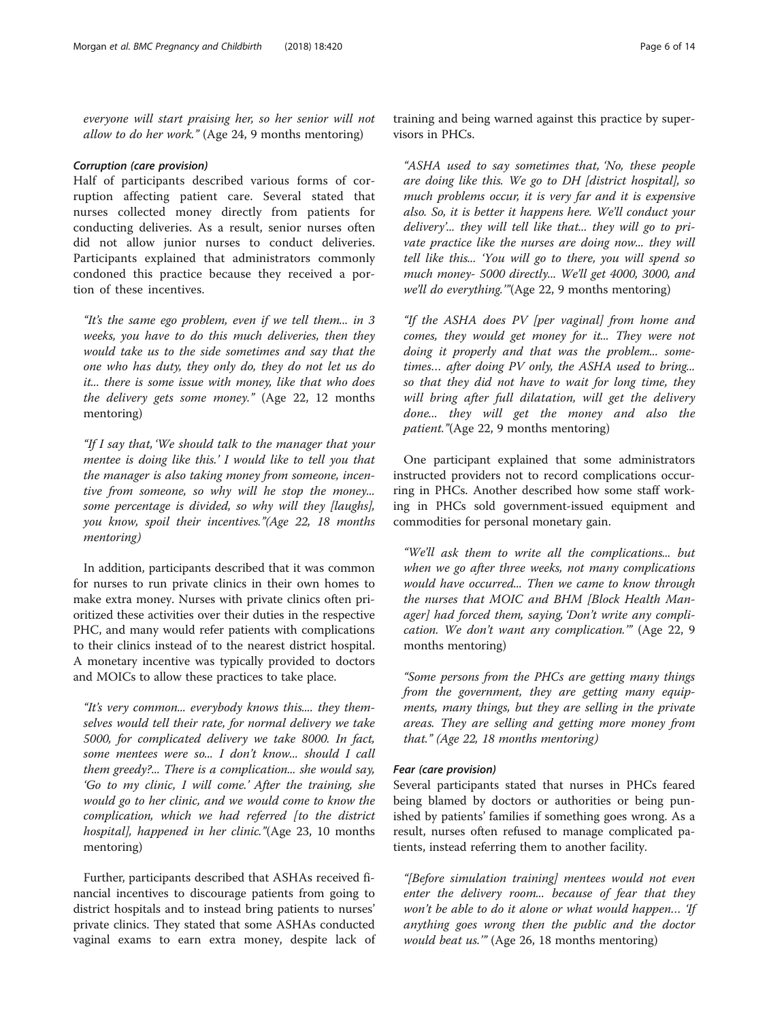everyone will start praising her, so her senior will not allow to do her work." (Age 24, 9 months mentoring)

### Corruption (care provision)

Half of participants described various forms of corruption affecting patient care. Several stated that nurses collected money directly from patients for conducting deliveries. As a result, senior nurses often did not allow junior nurses to conduct deliveries. Participants explained that administrators commonly condoned this practice because they received a portion of these incentives.

"It's the same ego problem, even if we tell them... in 3 weeks, you have to do this much deliveries, then they would take us to the side sometimes and say that the one who has duty, they only do, they do not let us do it... there is some issue with money, like that who does the delivery gets some money." (Age 22, 12 months mentoring)

"If I say that, 'We should talk to the manager that your mentee is doing like this.' I would like to tell you that the manager is also taking money from someone, incentive from someone, so why will he stop the money... some percentage is divided, so why will they [laughs], you know, spoil their incentives."(Age 22, 18 months mentoring)

In addition, participants described that it was common for nurses to run private clinics in their own homes to make extra money. Nurses with private clinics often prioritized these activities over their duties in the respective PHC, and many would refer patients with complications to their clinics instead of to the nearest district hospital. A monetary incentive was typically provided to doctors and MOICs to allow these practices to take place.

"It's very common... everybody knows this.... they themselves would tell their rate, for normal delivery we take 5000, for complicated delivery we take 8000. In fact, some mentees were so... I don't know... should I call them greedy?... There is a complication... she would say, 'Go to my clinic, I will come.' After the training, she would go to her clinic, and we would come to know the complication, which we had referred [to the district hospital], happened in her clinic."(Age 23, 10 months mentoring)

Further, participants described that ASHAs received financial incentives to discourage patients from going to district hospitals and to instead bring patients to nurses' private clinics. They stated that some ASHAs conducted vaginal exams to earn extra money, despite lack of

training and being warned against this practice by supervisors in PHCs.

"ASHA used to say sometimes that, 'No, these people are doing like this. We go to DH [district hospital], so much problems occur, it is very far and it is expensive also. So, it is better it happens here. We'll conduct your delivery'... they will tell like that... they will go to private practice like the nurses are doing now... they will tell like this... 'You will go to there, you will spend so much money- 5000 directly... We'll get 4000, 3000, and we'll do everything.'"(Age 22, 9 months mentoring)

"If the ASHA does PV [per vaginal] from home and comes, they would get money for it... They were not doing it properly and that was the problem... sometimes… after doing PV only, the ASHA used to bring... so that they did not have to wait for long time, they will bring after full dilatation, will get the delivery done... they will get the money and also the patient."(Age 22, 9 months mentoring)

One participant explained that some administrators instructed providers not to record complications occurring in PHCs. Another described how some staff working in PHCs sold government-issued equipment and commodities for personal monetary gain.

"We'll ask them to write all the complications... but when we go after three weeks, not many complications would have occurred... Then we came to know through the nurses that MOIC and BHM [Block Health Manager] had forced them, saying, 'Don't write any complication. We don't want any complication.'" (Age 22, 9 months mentoring)

"Some persons from the PHCs are getting many things from the government, they are getting many equipments, many things, but they are selling in the private areas. They are selling and getting more money from that." (Age 22, 18 months mentoring)

### Fear (care provision)

Several participants stated that nurses in PHCs feared being blamed by doctors or authorities or being punished by patients' families if something goes wrong. As a result, nurses often refused to manage complicated patients, instead referring them to another facility.

"[Before simulation training] mentees would not even enter the delivery room... because of fear that they won't be able to do it alone or what would happen... 'If anything goes wrong then the public and the doctor would beat us." (Age 26, 18 months mentoring)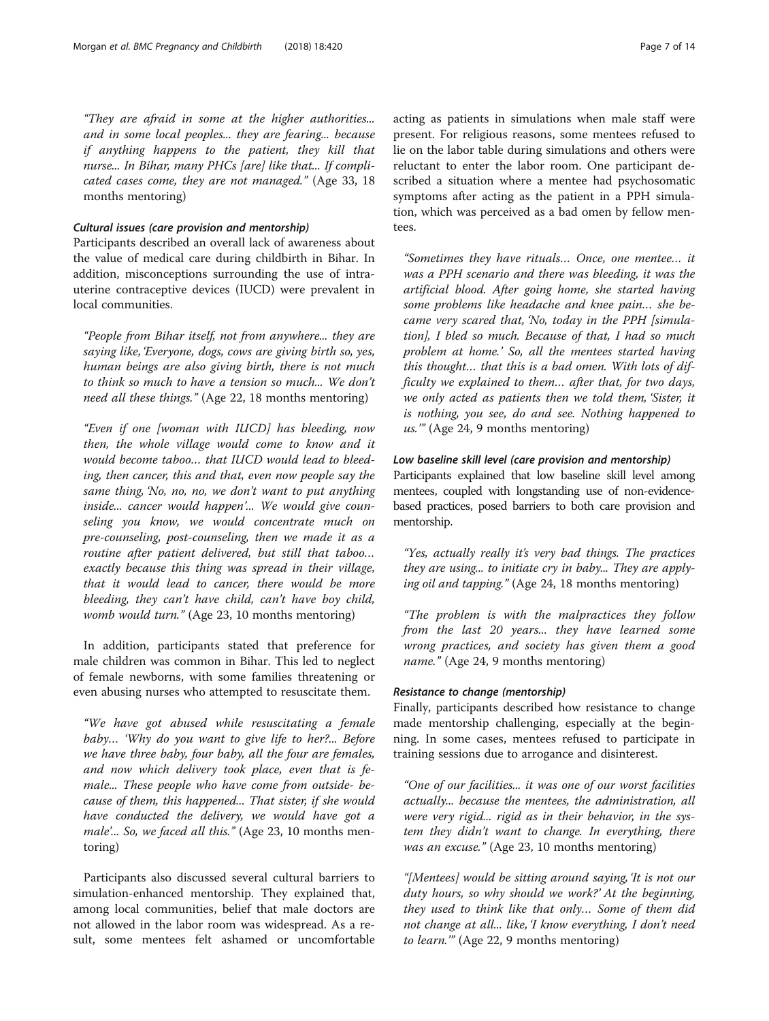"They are afraid in some at the higher authorities... and in some local peoples... they are fearing... because if anything happens to the patient, they kill that nurse... In Bihar, many PHCs [are] like that... If complicated cases come, they are not managed." (Age 33, 18 months mentoring)

### Cultural issues (care provision and mentorship)

Participants described an overall lack of awareness about the value of medical care during childbirth in Bihar. In addition, misconceptions surrounding the use of intrauterine contraceptive devices (IUCD) were prevalent in local communities.

"People from Bihar itself, not from anywhere... they are saying like, 'Everyone, dogs, cows are giving birth so, yes, human beings are also giving birth, there is not much to think so much to have a tension so much... We don't need all these things." (Age 22, 18 months mentoring)

"Even if one [woman with IUCD] has bleeding, now then, the whole village would come to know and it would become taboo… that IUCD would lead to bleeding, then cancer, this and that, even now people say the same thing, 'No, no, no, we don't want to put anything inside... cancer would happen'... We would give counseling you know, we would concentrate much on pre-counseling, post-counseling, then we made it as a routine after patient delivered, but still that taboo… exactly because this thing was spread in their village, that it would lead to cancer, there would be more bleeding, they can't have child, can't have boy child, womb would turn." (Age 23, 10 months mentoring)

In addition, participants stated that preference for male children was common in Bihar. This led to neglect of female newborns, with some families threatening or even abusing nurses who attempted to resuscitate them.

"We have got abused while resuscitating a female baby… 'Why do you want to give life to her?... Before we have three baby, four baby, all the four are females, and now which delivery took place, even that is female... These people who have come from outside- because of them, this happened... That sister, if she would have conducted the delivery, we would have got a male'... So, we faced all this." (Age 23, 10 months mentoring)

Participants also discussed several cultural barriers to simulation-enhanced mentorship. They explained that, among local communities, belief that male doctors are not allowed in the labor room was widespread. As a result, some mentees felt ashamed or uncomfortable acting as patients in simulations when male staff were present. For religious reasons, some mentees refused to lie on the labor table during simulations and others were reluctant to enter the labor room. One participant described a situation where a mentee had psychosomatic symptoms after acting as the patient in a PPH simulation, which was perceived as a bad omen by fellow mentees.

"Sometimes they have rituals… Once, one mentee… it was a PPH scenario and there was bleeding, it was the artificial blood. After going home, she started having some problems like headache and knee pain… she became very scared that, 'No, today in the PPH [simulation], I bled so much. Because of that, I had so much problem at home.' So, all the mentees started having this thought… that this is a bad omen. With lots of difficulty we explained to them… after that, for two days, we only acted as patients then we told them, 'Sister, it is nothing, you see, do and see. Nothing happened to us.'" (Age 24, 9 months mentoring)

# Low baseline skill level (care provision and mentorship)

Participants explained that low baseline skill level among mentees, coupled with longstanding use of non-evidencebased practices, posed barriers to both care provision and mentorship.

"Yes, actually really it's very bad things. The practices they are using... to initiate cry in baby... They are applying oil and tapping." (Age 24, 18 months mentoring)

"The problem is with the malpractices they follow from the last 20 years... they have learned some wrong practices, and society has given them a good name." (Age 24, 9 months mentoring)

# Resistance to change (mentorship)

Finally, participants described how resistance to change made mentorship challenging, especially at the beginning. In some cases, mentees refused to participate in training sessions due to arrogance and disinterest.

"One of our facilities... it was one of our worst facilities actually... because the mentees, the administration, all were very rigid... rigid as in their behavior, in the system they didn't want to change. In everything, there was an excuse." (Age 23, 10 months mentoring)

"[Mentees] would be sitting around saying, 'It is not our duty hours, so why should we work?' At the beginning, they used to think like that only… Some of them did not change at all... like, 'I know everything, I don't need to learn.'" (Age 22, 9 months mentoring)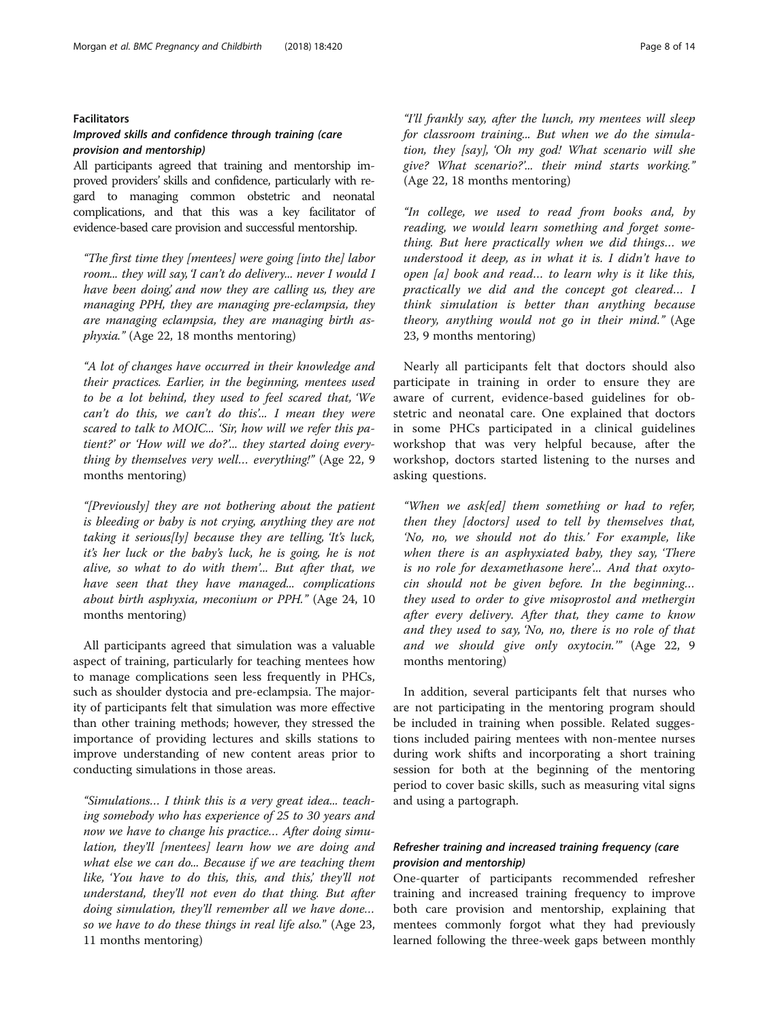### Facilitators

## Improved skills and confidence through training (care provision and mentorship)

All participants agreed that training and mentorship improved providers' skills and confidence, particularly with regard to managing common obstetric and neonatal complications, and that this was a key facilitator of evidence-based care provision and successful mentorship.

"The first time they [mentees] were going [into the] labor room... they will say, 'I can't do delivery... never I would I have been doing,' and now they are calling us, they are managing PPH, they are managing pre-eclampsia, they are managing eclampsia, they are managing birth asphyxia." (Age 22, 18 months mentoring)

"A lot of changes have occurred in their knowledge and their practices. Earlier, in the beginning, mentees used to be a lot behind, they used to feel scared that, 'We can't do this, we can't do this'... I mean they were scared to talk to MOIC... 'Sir, how will we refer this patient?' or 'How will we do?'... they started doing everything by themselves very well… everything!" (Age 22, 9 months mentoring)

"[Previously] they are not bothering about the patient is bleeding or baby is not crying, anything they are not taking it serious[ly] because they are telling, 'It's luck, it's her luck or the baby's luck, he is going, he is not alive, so what to do with them'... But after that, we have seen that they have managed... complications about birth asphyxia, meconium or PPH." (Age 24, 10 months mentoring)

All participants agreed that simulation was a valuable aspect of training, particularly for teaching mentees how to manage complications seen less frequently in PHCs, such as shoulder dystocia and pre-eclampsia. The majority of participants felt that simulation was more effective than other training methods; however, they stressed the importance of providing lectures and skills stations to improve understanding of new content areas prior to conducting simulations in those areas.

"Simulations… I think this is a very great idea... teaching somebody who has experience of 25 to 30 years and now we have to change his practice… After doing simulation, they'll [mentees] learn how we are doing and what else we can do... Because if we are teaching them like, 'You have to do this, this, and this', they'll not understand, they'll not even do that thing. But after doing simulation, they'll remember all we have done… so we have to do these things in real life also." (Age 23, 11 months mentoring)

"I'll frankly say, after the lunch, my mentees will sleep for classroom training... But when we do the simulation, they [say], 'Oh my god! What scenario will she give? What scenario?'... their mind starts working." (Age 22, 18 months mentoring)

"In college, we used to read from books and, by reading, we would learn something and forget something. But here practically when we did things… we understood it deep, as in what it is. I didn't have to open [a] book and read… to learn why is it like this, practically we did and the concept got cleared… I think simulation is better than anything because theory, anything would not go in their mind." (Age 23, 9 months mentoring)

Nearly all participants felt that doctors should also participate in training in order to ensure they are aware of current, evidence-based guidelines for obstetric and neonatal care. One explained that doctors in some PHCs participated in a clinical guidelines workshop that was very helpful because, after the workshop, doctors started listening to the nurses and asking questions.

"When we ask[ed] them something or had to refer, then they [doctors] used to tell by themselves that, 'No, no, we should not do this.' For example, like when there is an asphyxiated baby, they say, 'There is no role for dexamethasone here'... And that oxytocin should not be given before. In the beginning… they used to order to give misoprostol and methergin after every delivery. After that, they came to know and they used to say, 'No, no, there is no role of that and we should give only oxytocin.'" (Age 22, 9 months mentoring)

In addition, several participants felt that nurses who are not participating in the mentoring program should be included in training when possible. Related suggestions included pairing mentees with non-mentee nurses during work shifts and incorporating a short training session for both at the beginning of the mentoring period to cover basic skills, such as measuring vital signs and using a partograph.

# Refresher training and increased training frequency (care provision and mentorship)

One-quarter of participants recommended refresher training and increased training frequency to improve both care provision and mentorship, explaining that mentees commonly forgot what they had previously learned following the three-week gaps between monthly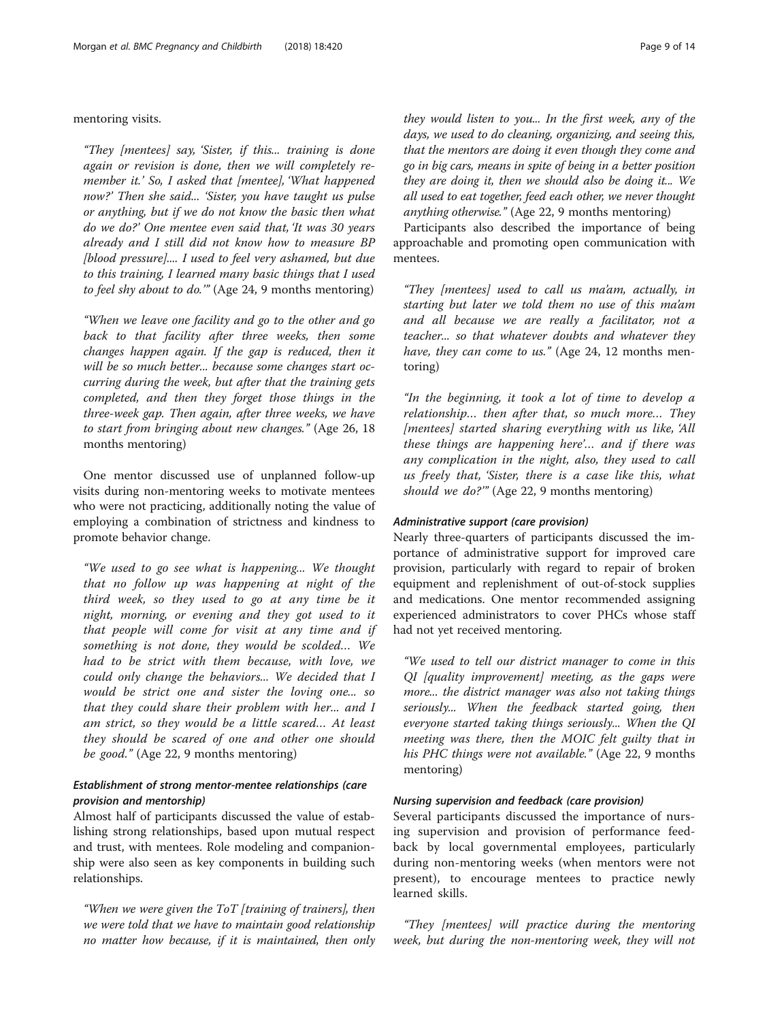# mentoring visits.

"They [mentees] say, 'Sister, if this... training is done again or revision is done, then we will completely remember it.' So, I asked that [mentee], 'What happened now?' Then she said... 'Sister, you have taught us pulse or anything, but if we do not know the basic then what do we do?' One mentee even said that, 'It was 30 years already and I still did not know how to measure BP [blood pressure].... I used to feel very ashamed, but due to this training, I learned many basic things that I used to feel shy about to do.'" (Age 24, 9 months mentoring)

"When we leave one facility and go to the other and go back to that facility after three weeks, then some changes happen again. If the gap is reduced, then it will be so much better... because some changes start occurring during the week, but after that the training gets completed, and then they forget those things in the three-week gap. Then again, after three weeks, we have to start from bringing about new changes." (Age 26, 18 months mentoring)

One mentor discussed use of unplanned follow-up visits during non-mentoring weeks to motivate mentees who were not practicing, additionally noting the value of employing a combination of strictness and kindness to promote behavior change.

"We used to go see what is happening... We thought that no follow up was happening at night of the third week, so they used to go at any time be it night, morning, or evening and they got used to it that people will come for visit at any time and if something is not done, they would be scolded… We had to be strict with them because, with love, we could only change the behaviors... We decided that I would be strict one and sister the loving one... so that they could share their problem with her... and I am strict, so they would be a little scared… At least they should be scared of one and other one should be good." (Age 22, 9 months mentoring)

# Establishment of strong mentor-mentee relationships (care provision and mentorship)

Almost half of participants discussed the value of establishing strong relationships, based upon mutual respect and trust, with mentees. Role modeling and companionship were also seen as key components in building such relationships.

"When we were given the ToT [training of trainers], then we were told that we have to maintain good relationship no matter how because, if it is maintained, then only they would listen to you... In the first week, any of the days, we used to do cleaning, organizing, and seeing this, that the mentors are doing it even though they come and go in big cars, means in spite of being in a better position they are doing it, then we should also be doing it... We all used to eat together, feed each other, we never thought anything otherwise." (Age 22, 9 months mentoring)

Participants also described the importance of being approachable and promoting open communication with mentees.

"They [mentees] used to call us ma'am, actually, in starting but later we told them no use of this ma'am and all because we are really a facilitator, not a teacher... so that whatever doubts and whatever they have, they can come to us." (Age 24, 12 months mentoring)

"In the beginning, it took a lot of time to develop a relationship… then after that, so much more… They [mentees] started sharing everything with us like, 'All these things are happening here'… and if there was any complication in the night, also, they used to call us freely that, 'Sister, there is a case like this, what should we do?"" (Age 22, 9 months mentoring)

## Administrative support (care provision)

Nearly three-quarters of participants discussed the importance of administrative support for improved care provision, particularly with regard to repair of broken equipment and replenishment of out-of-stock supplies and medications. One mentor recommended assigning experienced administrators to cover PHCs whose staff had not yet received mentoring.

"We used to tell our district manager to come in this QI [quality improvement] meeting, as the gaps were more... the district manager was also not taking things seriously... When the feedback started going, then everyone started taking things seriously... When the QI meeting was there, then the MOIC felt guilty that in his PHC things were not available." (Age 22, 9 months mentoring)

# Nursing supervision and feedback (care provision)

Several participants discussed the importance of nursing supervision and provision of performance feedback by local governmental employees, particularly during non-mentoring weeks (when mentors were not present), to encourage mentees to practice newly learned skills.

"They [mentees] will practice during the mentoring week, but during the non-mentoring week, they will not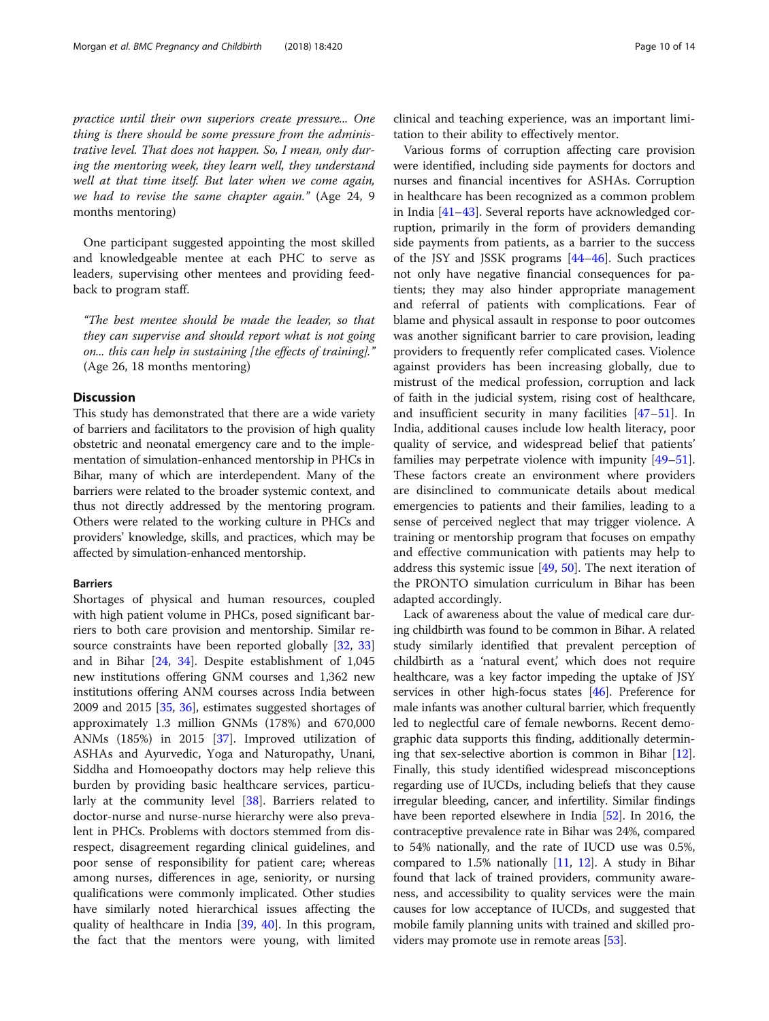practice until their own superiors create pressure... One thing is there should be some pressure from the administrative level. That does not happen. So, I mean, only dur-

ing the mentoring week, they learn well, they understand well at that time itself. But later when we come again, we had to revise the same chapter again." (Age 24, 9 months mentoring)

One participant suggested appointing the most skilled and knowledgeable mentee at each PHC to serve as leaders, supervising other mentees and providing feedback to program staff.

"The best mentee should be made the leader, so that they can supervise and should report what is not going on... this can help in sustaining [the effects of training]." (Age 26, 18 months mentoring)

### **Discussion**

This study has demonstrated that there are a wide variety of barriers and facilitators to the provision of high quality obstetric and neonatal emergency care and to the implementation of simulation-enhanced mentorship in PHCs in Bihar, many of which are interdependent. Many of the barriers were related to the broader systemic context, and thus not directly addressed by the mentoring program. Others were related to the working culture in PHCs and providers' knowledge, skills, and practices, which may be affected by simulation-enhanced mentorship.

### Barriers

Shortages of physical and human resources, coupled with high patient volume in PHCs, posed significant barriers to both care provision and mentorship. Similar re-source constraints have been reported globally [\[32](#page-12-0), [33](#page-12-0)] and in Bihar [\[24](#page-12-0), [34\]](#page-12-0). Despite establishment of 1,045 new institutions offering GNM courses and 1,362 new institutions offering ANM courses across India between 2009 and 2015 [[35,](#page-12-0) [36\]](#page-12-0), estimates suggested shortages of approximately 1.3 million GNMs (178%) and 670,000 ANMs (185%) in 2015 [[37\]](#page-12-0). Improved utilization of ASHAs and Ayurvedic, Yoga and Naturopathy, Unani, Siddha and Homoeopathy doctors may help relieve this burden by providing basic healthcare services, particularly at the community level [[38\]](#page-12-0). Barriers related to doctor-nurse and nurse-nurse hierarchy were also prevalent in PHCs. Problems with doctors stemmed from disrespect, disagreement regarding clinical guidelines, and poor sense of responsibility for patient care; whereas among nurses, differences in age, seniority, or nursing qualifications were commonly implicated. Other studies have similarly noted hierarchical issues affecting the quality of healthcare in India [[39](#page-12-0), [40](#page-12-0)]. In this program, the fact that the mentors were young, with limited clinical and teaching experience, was an important limitation to their ability to effectively mentor.

Various forms of corruption affecting care provision were identified, including side payments for doctors and nurses and financial incentives for ASHAs. Corruption in healthcare has been recognized as a common problem in India [\[41](#page-12-0)–[43](#page-12-0)]. Several reports have acknowledged corruption, primarily in the form of providers demanding side payments from patients, as a barrier to the success of the JSY and JSSK programs [[44](#page-12-0)–[46](#page-12-0)]. Such practices not only have negative financial consequences for patients; they may also hinder appropriate management and referral of patients with complications. Fear of blame and physical assault in response to poor outcomes was another significant barrier to care provision, leading providers to frequently refer complicated cases. Violence against providers has been increasing globally, due to mistrust of the medical profession, corruption and lack of faith in the judicial system, rising cost of healthcare, and insufficient security in many facilities [[47](#page-12-0)–[51\]](#page-12-0). In India, additional causes include low health literacy, poor quality of service, and widespread belief that patients' families may perpetrate violence with impunity [[49](#page-12-0)–[51](#page-12-0)]. These factors create an environment where providers are disinclined to communicate details about medical emergencies to patients and their families, leading to a sense of perceived neglect that may trigger violence. A training or mentorship program that focuses on empathy and effective communication with patients may help to address this systemic issue [[49,](#page-12-0) [50\]](#page-12-0). The next iteration of the PRONTO simulation curriculum in Bihar has been adapted accordingly.

Lack of awareness about the value of medical care during childbirth was found to be common in Bihar. A related study similarly identified that prevalent perception of childbirth as a 'natural event,' which does not require healthcare, was a key factor impeding the uptake of JSY services in other high-focus states [\[46\]](#page-12-0). Preference for male infants was another cultural barrier, which frequently led to neglectful care of female newborns. Recent demographic data supports this finding, additionally determining that sex-selective abortion is common in Bihar [[12](#page-12-0)]. Finally, this study identified widespread misconceptions regarding use of IUCDs, including beliefs that they cause irregular bleeding, cancer, and infertility. Similar findings have been reported elsewhere in India [[52](#page-12-0)]. In 2016, the contraceptive prevalence rate in Bihar was 24%, compared to 54% nationally, and the rate of IUCD use was 0.5%, compared to 1.5% nationally [[11](#page-12-0), [12\]](#page-12-0). A study in Bihar found that lack of trained providers, community awareness, and accessibility to quality services were the main causes for low acceptance of IUCDs, and suggested that mobile family planning units with trained and skilled providers may promote use in remote areas [[53](#page-12-0)].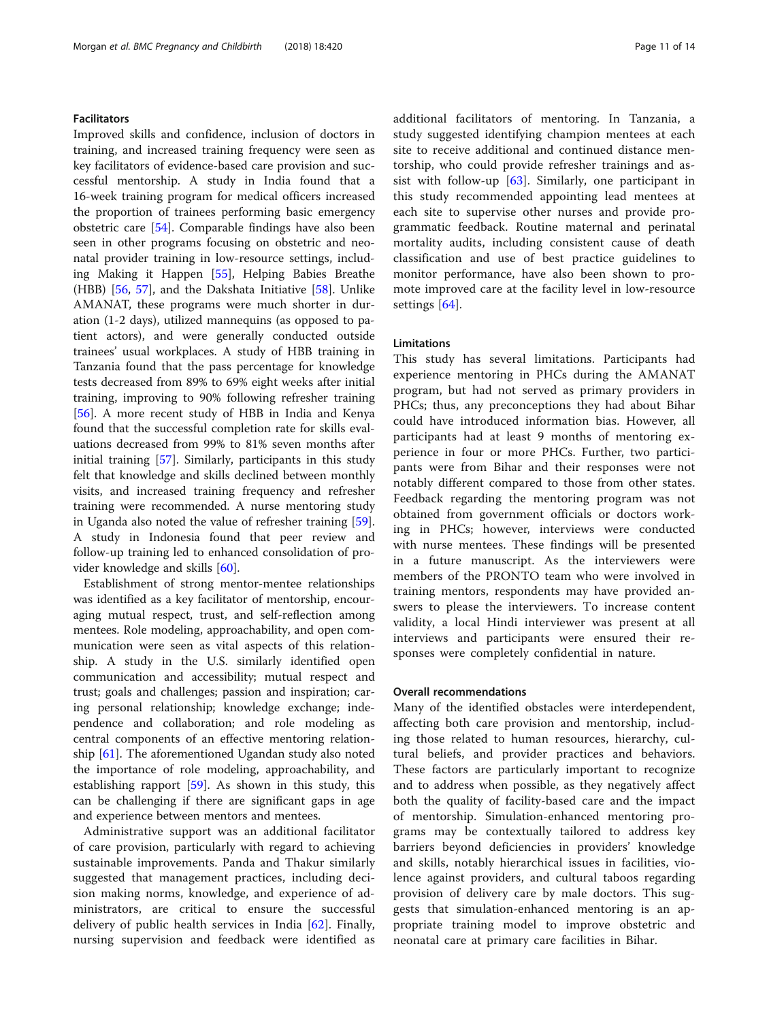# Facilitators

Improved skills and confidence, inclusion of doctors in training, and increased training frequency were seen as key facilitators of evidence-based care provision and successful mentorship. A study in India found that a 16-week training program for medical officers increased the proportion of trainees performing basic emergency obstetric care [[54\]](#page-12-0). Comparable findings have also been seen in other programs focusing on obstetric and neonatal provider training in low-resource settings, including Making it Happen [[55\]](#page-12-0), Helping Babies Breathe (HBB) [\[56](#page-12-0), [57](#page-13-0)], and the Dakshata Initiative [[58](#page-13-0)]. Unlike AMANAT, these programs were much shorter in duration (1-2 days), utilized mannequins (as opposed to patient actors), and were generally conducted outside trainees' usual workplaces. A study of HBB training in Tanzania found that the pass percentage for knowledge tests decreased from 89% to 69% eight weeks after initial training, improving to 90% following refresher training [[56\]](#page-12-0). A more recent study of HBB in India and Kenya found that the successful completion rate for skills evaluations decreased from 99% to 81% seven months after initial training [\[57](#page-13-0)]. Similarly, participants in this study felt that knowledge and skills declined between monthly visits, and increased training frequency and refresher training were recommended. A nurse mentoring study in Uganda also noted the value of refresher training [\[59](#page-13-0)]. A study in Indonesia found that peer review and follow-up training led to enhanced consolidation of provider knowledge and skills [[60\]](#page-13-0).

Establishment of strong mentor-mentee relationships was identified as a key facilitator of mentorship, encouraging mutual respect, trust, and self-reflection among mentees. Role modeling, approachability, and open communication were seen as vital aspects of this relationship. A study in the U.S. similarly identified open communication and accessibility; mutual respect and trust; goals and challenges; passion and inspiration; caring personal relationship; knowledge exchange; independence and collaboration; and role modeling as central components of an effective mentoring relationship [[61](#page-13-0)]. The aforementioned Ugandan study also noted the importance of role modeling, approachability, and establishing rapport [[59](#page-13-0)]. As shown in this study, this can be challenging if there are significant gaps in age and experience between mentors and mentees.

Administrative support was an additional facilitator of care provision, particularly with regard to achieving sustainable improvements. Panda and Thakur similarly suggested that management practices, including decision making norms, knowledge, and experience of administrators, are critical to ensure the successful delivery of public health services in India [\[62](#page-13-0)]. Finally, nursing supervision and feedback were identified as additional facilitators of mentoring. In Tanzania, a study suggested identifying champion mentees at each site to receive additional and continued distance mentorship, who could provide refresher trainings and assist with follow-up [\[63](#page-13-0)]. Similarly, one participant in this study recommended appointing lead mentees at each site to supervise other nurses and provide programmatic feedback. Routine maternal and perinatal mortality audits, including consistent cause of death classification and use of best practice guidelines to monitor performance, have also been shown to promote improved care at the facility level in low-resource settings [[64\]](#page-13-0).

# Limitations

This study has several limitations. Participants had experience mentoring in PHCs during the AMANAT program, but had not served as primary providers in PHCs; thus, any preconceptions they had about Bihar could have introduced information bias. However, all participants had at least 9 months of mentoring experience in four or more PHCs. Further, two participants were from Bihar and their responses were not notably different compared to those from other states. Feedback regarding the mentoring program was not obtained from government officials or doctors working in PHCs; however, interviews were conducted with nurse mentees. These findings will be presented in a future manuscript. As the interviewers were members of the PRONTO team who were involved in training mentors, respondents may have provided answers to please the interviewers. To increase content validity, a local Hindi interviewer was present at all interviews and participants were ensured their responses were completely confidential in nature.

### Overall recommendations

Many of the identified obstacles were interdependent, affecting both care provision and mentorship, including those related to human resources, hierarchy, cultural beliefs, and provider practices and behaviors. These factors are particularly important to recognize and to address when possible, as they negatively affect both the quality of facility-based care and the impact of mentorship. Simulation-enhanced mentoring programs may be contextually tailored to address key barriers beyond deficiencies in providers' knowledge and skills, notably hierarchical issues in facilities, violence against providers, and cultural taboos regarding provision of delivery care by male doctors. This suggests that simulation-enhanced mentoring is an appropriate training model to improve obstetric and neonatal care at primary care facilities in Bihar.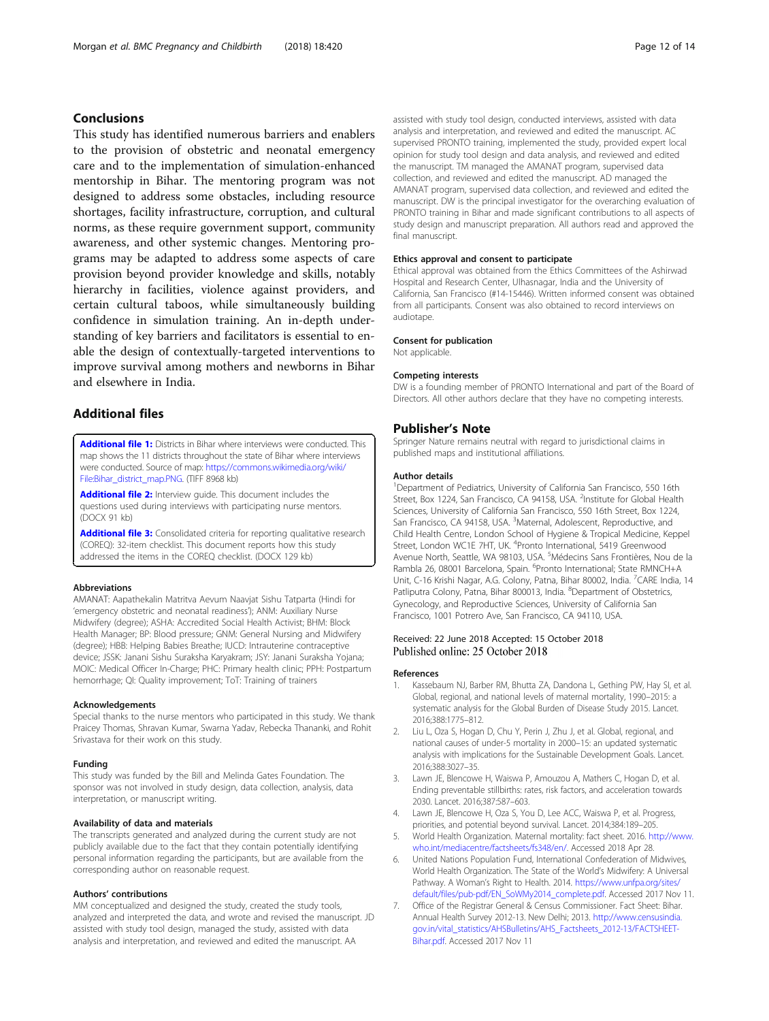# <span id="page-11-0"></span>Conclusions

This study has identified numerous barriers and enablers to the provision of obstetric and neonatal emergency care and to the implementation of simulation-enhanced mentorship in Bihar. The mentoring program was not designed to address some obstacles, including resource shortages, facility infrastructure, corruption, and cultural norms, as these require government support, community awareness, and other systemic changes. Mentoring programs may be adapted to address some aspects of care provision beyond provider knowledge and skills, notably hierarchy in facilities, violence against providers, and certain cultural taboos, while simultaneously building confidence in simulation training. An in-depth understanding of key barriers and facilitators is essential to enable the design of contextually-targeted interventions to improve survival among mothers and newborns in Bihar and elsewhere in India.

# Additional files

**[Additional file 1:](https://doi.org/10.1186/s12884-018-2059-8)** Districts in Bihar where interviews were conducted. This map shows the 11 districts throughout the state of Bihar where interviews were conducted. Source of map: [https://commons.wikimedia.org/wiki/](https://commons.wikimedia.org/wiki/File:Bihar_district_map.PNG) [File:Bihar\\_district\\_map.PNG](https://commons.wikimedia.org/wiki/File:Bihar_district_map.PNG). (TIFF 8968 kb)

[Additional file 2:](https://doi.org/10.1186/s12884-018-2059-8) Interview quide. This document includes the questions used during interviews with participating nurse mentors. (DOCX 91 kb)

[Additional file 3:](https://doi.org/10.1186/s12884-018-2059-8) Consolidated criteria for reporting qualitative research (COREQ): 32-item checklist. This document reports how this study addressed the items in the COREQ checklist. (DOCX 129 kb)

#### Abbreviations

AMANAT: Aapathekalin Matritva Aevum Naavjat Sishu Tatparta (Hindi for 'emergency obstetric and neonatal readiness'); ANM: Auxiliary Nurse Midwifery (degree); ASHA: Accredited Social Health Activist; BHM: Block Health Manager; BP: Blood pressure; GNM: General Nursing and Midwifery (degree); HBB: Helping Babies Breathe; IUCD: Intrauterine contraceptive device; JSSK: Janani Sishu Suraksha Karyakram; JSY: Janani Suraksha Yojana; MOIC: Medical Officer In-Charge; PHC: Primary health clinic; PPH: Postpartum hemorrhage; QI: Quality improvement; ToT: Training of trainers

#### Acknowledgements

Special thanks to the nurse mentors who participated in this study. We thank Praicey Thomas, Shravan Kumar, Swarna Yadav, Rebecka Thananki, and Rohit Srivastava for their work on this study.

#### Funding

This study was funded by the Bill and Melinda Gates Foundation. The sponsor was not involved in study design, data collection, analysis, data interpretation, or manuscript writing.

### Availability of data and materials

The transcripts generated and analyzed during the current study are not publicly available due to the fact that they contain potentially identifying personal information regarding the participants, but are available from the corresponding author on reasonable request.

#### Authors' contributions

MM conceptualized and designed the study, created the study tools, analyzed and interpreted the data, and wrote and revised the manuscript. JD assisted with study tool design, managed the study, assisted with data analysis and interpretation, and reviewed and edited the manuscript. AA

assisted with study tool design, conducted interviews, assisted with data analysis and interpretation, and reviewed and edited the manuscript. AC supervised PRONTO training, implemented the study, provided expert local opinion for study tool design and data analysis, and reviewed and edited the manuscript. TM managed the AMANAT program, supervised data collection, and reviewed and edited the manuscript. AD managed the AMANAT program, supervised data collection, and reviewed and edited the manuscript. DW is the principal investigator for the overarching evaluation of PRONTO training in Bihar and made significant contributions to all aspects of study design and manuscript preparation. All authors read and approved the final manuscript.

#### Ethics approval and consent to participate

Ethical approval was obtained from the Ethics Committees of the Ashirwad Hospital and Research Center, Ulhasnagar, India and the University of California, San Francisco (#14-15446). Written informed consent was obtained from all participants. Consent was also obtained to record interviews on audiotape.

#### Consent for publication

Not applicable.

#### Competing interests

DW is a founding member of PRONTO International and part of the Board of Directors. All other authors declare that they have no competing interests.

### Publisher's Note

Springer Nature remains neutral with regard to jurisdictional claims in published maps and institutional affiliations.

#### Author details

<sup>1</sup>Department of Pediatrics, University of California San Francisco, 550 16th Street, Box 1224, San Francisco, CA 94158, USA. <sup>2</sup>Institute for Global Health Sciences, University of California San Francisco, 550 16th Street, Box 1224, San Francisco, CA 94158, USA. <sup>3</sup>Maternal, Adolescent, Reproductive, and Child Health Centre, London School of Hygiene & Tropical Medicine, Keppel Street, London WC1E 7HT, UK. <sup>4</sup>Pronto International, 5419 Greenwood Avenue North, Seattle, WA 98103, USA. <sup>5</sup>Médecins Sans Frontières, Nou de la Rambla 26, 08001 Barcelona, Spain. <sup>6</sup>Pronto International; State RMNCH+A Unit, C-16 Krishi Nagar, A.G. Colony, Patna, Bihar 80002, India. <sup>7</sup>CARE India, 14 Patliputra Colony, Patna, Bihar 800013, India. <sup>8</sup>Department of Obstetrics, Gynecology, and Reproductive Sciences, University of California San Francisco, 1001 Potrero Ave, San Francisco, CA 94110, USA.

### Received: 22 June 2018 Accepted: 15 October 2018 Published online: 25 October 2018

#### References

- 1. Kassebaum NJ, Barber RM, Bhutta ZA, Dandona L, Gething PW, Hay SI, et al. Global, regional, and national levels of maternal mortality, 1990–2015: a systematic analysis for the Global Burden of Disease Study 2015. Lancet. 2016;388:1775–812.
- 2. Liu L, Oza S, Hogan D, Chu Y, Perin J, Zhu J, et al. Global, regional, and national causes of under-5 mortality in 2000–15: an updated systematic analysis with implications for the Sustainable Development Goals. Lancet. 2016;388:3027–35.
- 3. Lawn JE, Blencowe H, Waiswa P, Amouzou A, Mathers C, Hogan D, et al. Ending preventable stillbirths: rates, risk factors, and acceleration towards 2030. Lancet. 2016;387:587–603.
- 4. Lawn JE, Blencowe H, Oza S, You D, Lee ACC, Waiswa P, et al. Progress, priorities, and potential beyond survival. Lancet. 2014;384:189–205.
- World Health Organization. Maternal mortality: fact sheet. 2016. [http://www.](http://www.who.int/mediacentre/factsheets/fs348/en/) [who.int/mediacentre/factsheets/fs348/en/](http://www.who.int/mediacentre/factsheets/fs348/en/). Accessed 2018 Apr 28.
- 6. United Nations Population Fund, International Confederation of Midwives, World Health Organization. The State of the World's Midwifery: A Universal Pathway. A Woman's Right to Health. 2014. [https://www.unfpa.org/sites/](https://www.unfpa.org/sites/default/files/pub-pdf/EN_SoWMy2014_complete.pdf) [default/files/pub-pdf/EN\\_SoWMy2014\\_complete.pdf](https://www.unfpa.org/sites/default/files/pub-pdf/EN_SoWMy2014_complete.pdf). Accessed 2017 Nov 11.
- 7. Office of the Registrar General & Census Commissioner. Fact Sheet: Bihar. Annual Health Survey 2012-13. New Delhi; 2013. [http://www.censusindia.](http://www.censusindia.gov.in/vital_statistics/AHSBulletins/AHS_Factsheets_2012-13/FACTSHEET-Bihar.pdf) [gov.in/vital\\_statistics/AHSBulletins/AHS\\_Factsheets\\_2012-13/FACTSHEET-](http://www.censusindia.gov.in/vital_statistics/AHSBulletins/AHS_Factsheets_2012-13/FACTSHEET-Bihar.pdf)[Bihar.pdf.](http://www.censusindia.gov.in/vital_statistics/AHSBulletins/AHS_Factsheets_2012-13/FACTSHEET-Bihar.pdf) Accessed 2017 Nov 11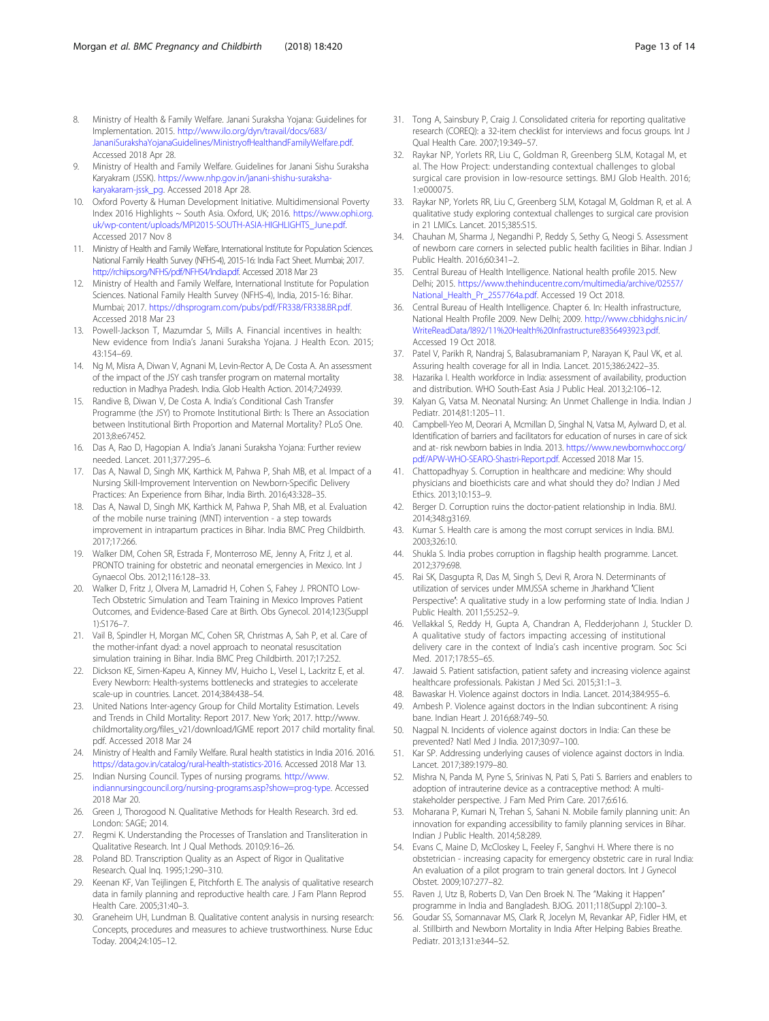- <span id="page-12-0"></span>8. Ministry of Health & Family Welfare. Janani Suraksha Yojana: Guidelines for Implementation. 2015. [http://www.ilo.org/dyn/travail/docs/683/](http://www.ilo.org/dyn/travail/docs/683/JananiSurakshaYojanaGuidelines/MinistryofHealthandFamilyWelfare.pdf) [JananiSurakshaYojanaGuidelines/MinistryofHealthandFamilyWelfare.pdf.](http://www.ilo.org/dyn/travail/docs/683/JananiSurakshaYojanaGuidelines/MinistryofHealthandFamilyWelfare.pdf) Accessed 2018 Apr 28.
- 9. Ministry of Health and Family Welfare. Guidelines for Janani Sishu Suraksha Karyakram (JSSK). [https://www.nhp.gov.in/janani-shishu-suraksha](https://www.nhp.gov.in/janani-shishu-suraksha-karyakaram-jssk_pg)[karyakaram-jssk\\_pg](https://www.nhp.gov.in/janani-shishu-suraksha-karyakaram-jssk_pg). Accessed 2018 Apr 28.
- 10. Oxford Poverty & Human Development Initiative. Multidimensional Poverty Index 2016 Highlights ~ South Asia. Oxford, UK; 2016. [https://www.ophi.org.](https://www.ophi.org.uk/wp-content/uploads/MPI2015-SOUTH-ASIA-HIGHLIGHTS_June.pdf) [uk/wp-content/uploads/MPI2015-SOUTH-ASIA-HIGHLIGHTS\\_June.pdf.](https://www.ophi.org.uk/wp-content/uploads/MPI2015-SOUTH-ASIA-HIGHLIGHTS_June.pdf) Accessed 2017 Nov 8
- 11. Ministry of Health and Family Welfare, International Institute for Population Sciences. National Family Health Survey (NFHS-4), 2015-16: India Fact Sheet. Mumbai; 2017. [http://rchiips.org/NFHS/pdf/NFHS4/India.pdf.](http://rchiips.org/NFHS/pdf/NFHS4/India.pdf) Accessed 2018 Mar 23
- 12. Ministry of Health and Family Welfare, International Institute for Population Sciences. National Family Health Survey (NFHS-4), India, 2015-16: Bihar. Mumbai; 2017. <https://dhsprogram.com/pubs/pdf/FR338/FR338.BR.pdf>. Accessed 2018 Mar 23
- 13. Powell-Jackson T, Mazumdar S, Mills A. Financial incentives in health: New evidence from India's Janani Suraksha Yojana. J Health Econ. 2015; 43:154–69.
- 14. Ng M, Misra A, Diwan V, Agnani M, Levin-Rector A, De Costa A. An assessment of the impact of the JSY cash transfer program on maternal mortality reduction in Madhya Pradesh. India. Glob Health Action. 2014;7:24939.
- Randive B, Diwan V, De Costa A. India's Conditional Cash Transfer Programme (the JSY) to Promote Institutional Birth: Is There an Association between Institutional Birth Proportion and Maternal Mortality? PLoS One. 2013;8:e67452.
- 16. Das A, Rao D, Hagopian A. India's Janani Suraksha Yojana: Further review needed. Lancet. 2011;377:295–6.
- 17. Das A, Nawal D, Singh MK, Karthick M, Pahwa P, Shah MB, et al. Impact of a Nursing Skill-Improvement Intervention on Newborn-Specific Delivery Practices: An Experience from Bihar, India Birth. 2016;43:328–35.
- 18. Das A, Nawal D, Singh MK, Karthick M, Pahwa P, Shah MB, et al. Evaluation of the mobile nurse training (MNT) intervention - a step towards improvement in intrapartum practices in Bihar. India BMC Preg Childbirth. 2017;17:266.
- 19. Walker DM, Cohen SR, Estrada F, Monterroso ME, Jenny A, Fritz J, et al. PRONTO training for obstetric and neonatal emergencies in Mexico. Int J Gynaecol Obs. 2012;116:128–33.
- 20. Walker D, Fritz J, Olvera M, Lamadrid H, Cohen S, Fahey J. PRONTO Low-Tech Obstetric Simulation and Team Training in Mexico Improves Patient Outcomes, and Evidence-Based Care at Birth. Obs Gynecol. 2014;123(Suppl 1):S176–7.
- 21. Vail B, Spindler H, Morgan MC, Cohen SR, Christmas A, Sah P, et al. Care of the mother-infant dyad: a novel approach to neonatal resuscitation simulation training in Bihar. India BMC Preg Childbirth. 2017;17:252.
- 22. Dickson KE, Simen-Kapeu A, Kinney MV, Huicho L, Vesel L, Lackritz E, et al. Every Newborn: Health-systems bottlenecks and strategies to accelerate scale-up in countries. Lancet. 2014;384:438–54.
- 23. United Nations Inter-agency Group for Child Mortality Estimation. Levels and Trends in Child Mortality: Report 2017. New York; 2017. http://www. childmortality.org/files\_v21/download/IGME report 2017 child mortality final. pdf. Accessed 2018 Mar 24
- 24. Ministry of Health and Family Welfare. Rural health statistics in India 2016. 2016. [https://data.gov.in/catalog/rural-health-statistics-2016.](https://data.gov.in/catalog/rural-health-statistics-2016) Accessed 2018 Mar 13.
- 25. Indian Nursing Council. Types of nursing programs. [http://www.](http://www.indiannursingcouncil.org/nursing-programs.asp?show=prog-type) [indiannursingcouncil.org/nursing-programs.asp?show=prog-type](http://www.indiannursingcouncil.org/nursing-programs.asp?show=prog-type). Accessed 2018 Mar 20.
- 26. Green J, Thorogood N. Qualitative Methods for Health Research. 3rd ed. London: SAGE; 2014.
- 27. Regmi K. Understanding the Processes of Translation and Transliteration in Qualitative Research. Int J Qual Methods. 2010;9:16–26.
- 28. Poland BD. Transcription Quality as an Aspect of Rigor in Qualitative Research. Qual Inq. 1995;1:290–310.
- 29. Keenan KF, Van Teijlingen E, Pitchforth E. The analysis of qualitative research data in family planning and reproductive health care. J Fam Plann Reprod Health Care. 2005;31:40–3.
- 30. Graneheim UH, Lundman B. Qualitative content analysis in nursing research: Concepts, procedures and measures to achieve trustworthiness. Nurse Educ Today. 2004;24:105–12.
- 31. Tong A, Sainsbury P, Craig J. Consolidated criteria for reporting qualitative research (COREQ): a 32-item checklist for interviews and focus groups. Int J Qual Health Care. 2007;19:349–57.
- 32. Raykar NP, Yorlets RR, Liu C, Goldman R, Greenberg SLM, Kotagal M, et al. The How Project: understanding contextual challenges to global surgical care provision in low-resource settings. BMJ Glob Health. 2016; 1:e000075.
- 33. Raykar NP, Yorlets RR, Liu C, Greenberg SLM, Kotagal M, Goldman R, et al. A qualitative study exploring contextual challenges to surgical care provision in 21 LMICs. Lancet. 2015;385:S15.
- 34. Chauhan M, Sharma J, Negandhi P, Reddy S, Sethy G, Neogi S. Assessment of newborn care corners in selected public health facilities in Bihar. Indian J Public Health. 2016;60:341–2.
- 35. Central Bureau of Health Intelligence. National health profile 2015. New Delhi; 2015. [https://www.thehinducentre.com/multimedia/archive/02557/](https://www.thehinducentre.com/multimedia/archive/02557/National_Health_Pr_2557764a.pdf) [National\\_Health\\_Pr\\_2557764a.pdf.](https://www.thehinducentre.com/multimedia/archive/02557/National_Health_Pr_2557764a.pdf) Accessed 19 Oct 2018.
- 36. Central Bureau of Health Intelligence. Chapter 6. In: Health infrastructure, National Health Profile 2009. New Delhi; 2009. [http://www.cbhidghs.nic.in/](http://www.cbhidghs.nic.in/WriteReadData/l892/11%20Health%20Infrastructure8356493923.pdf) [WriteReadData/l892/11%20Health%20Infrastructure8356493923.pdf](http://www.cbhidghs.nic.in/WriteReadData/l892/11%20Health%20Infrastructure8356493923.pdf). Accessed 19 Oct 2018.
- 37. Patel V, Parikh R, Nandraj S, Balasubramaniam P, Narayan K, Paul VK, et al. Assuring health coverage for all in India. Lancet. 2015;386:2422–35.
- 38. Hazarika I. Health workforce in India: assessment of availability, production and distribution. WHO South-East Asia J Public Heal. 2013;2:106–12.
- Kalyan G, Vatsa M. Neonatal Nursing: An Unmet Challenge in India. Indian J Pediatr. 2014;81:1205–11.
- 40. Campbell-Yeo M, Deorari A, Mcmillan D, Singhal N, Vatsa M, Aylward D, et al. Identification of barriers and facilitators for education of nurses in care of sick and at- risk newborn babies in India. 2013. [https://www.newbornwhocc.org/](https://www.newbornwhocc.org/pdf/APW-WHO-SEARO-Shastri-Report.pdf) [pdf/APW-WHO-SEARO-Shastri-Report.pdf](https://www.newbornwhocc.org/pdf/APW-WHO-SEARO-Shastri-Report.pdf). Accessed 2018 Mar 15.
- 41. Chattopadhyay S. Corruption in healthcare and medicine: Why should physicians and bioethicists care and what should they do? Indian J Med Ethics. 2013;10:153–9.
- 42. Berger D. Corruption ruins the doctor-patient relationship in India. BMJ. 2014;348:g3169.
- 43. Kumar S. Health care is among the most corrupt services in India. BMJ. 2003;326:10.
- 44. Shukla S. India probes corruption in flagship health programme. Lancet. 2012;379:698.
- 45. Rai SK, Dasgupta R, Das M, Singh S, Devi R, Arora N. Determinants of utilization of services under MMJSSA scheme in Jharkhand ′Client Perspective': A qualitative study in a low performing state of India. Indian J Public Health. 2011;55:252–9.
- 46. Vellakkal S, Reddy H, Gupta A, Chandran A, Fledderjohann J, Stuckler D. A qualitative study of factors impacting accessing of institutional delivery care in the context of India's cash incentive program. Soc Sci Med. 2017;178:55–65.
- 47. Jawaid S. Patient satisfaction, patient safety and increasing violence against healthcare professionals. Pakistan J Med Sci. 2015;31:1–3.
- 48. Bawaskar H. Violence against doctors in India. Lancet. 2014;384:955–6.
- 49. Ambesh P. Violence against doctors in the Indian subcontinent: A rising bane. Indian Heart J. 2016;68:749–50.
- 50. Nagpal N. Incidents of violence against doctors in India: Can these be prevented? Natl Med J India. 2017;30:97–100.
- 51. Kar SP. Addressing underlying causes of violence against doctors in India. Lancet. 2017;389:1979–80.
- 52. Mishra N, Panda M, Pyne S, Srinivas N, Pati S, Pati S. Barriers and enablers to adoption of intrauterine device as a contraceptive method: A multistakeholder perspective. J Fam Med Prim Care. 2017;6:616.
- 53. Moharana P, Kumari N, Trehan S, Sahani N. Mobile family planning unit: An innovation for expanding accessibility to family planning services in Bihar. Indian J Public Health. 2014;58:289.
- 54. Evans C, Maine D, McCloskey L, Feeley F, Sanghvi H. Where there is no obstetrician - increasing capacity for emergency obstetric care in rural India: An evaluation of a pilot program to train general doctors. Int J Gynecol Obstet. 2009;107:277–82.
- 55. Raven J, Utz B, Roberts D, Van Den Broek N. The "Making it Happen" programme in India and Bangladesh. BJOG. 2011;118(Suppl 2):100–3.
- 56. Goudar SS, Somannavar MS, Clark R, Jocelyn M, Revankar AP, Fidler HM, et al. Stillbirth and Newborn Mortality in India After Helping Babies Breathe. Pediatr. 2013;131:e344–52.